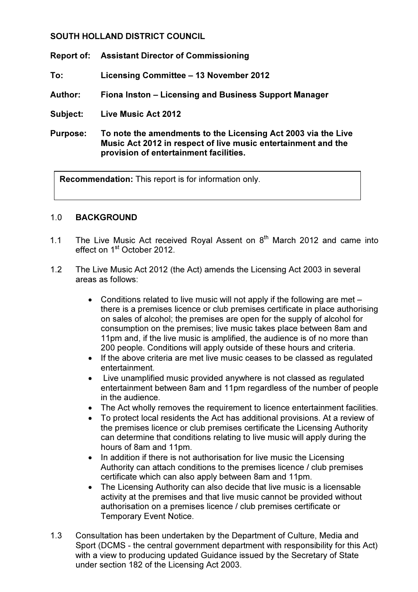# SOUTH HOLLAND DISTRICT COUNCIL

Report of: Assistant Director of Commissioning

To: Licensing Committee – 13 November 2012

- Author: Fiona Inston Licensing and Business Support Manager
- Subject: Live Music Act 2012
- Purpose: To note the amendments to the Licensing Act 2003 via the Live Music Act 2012 in respect of live music entertainment and the provision of entertainment facilities.

Recommendation: This report is for information only.

### 1.0 BACKGROUND

- 1.1 The Live Music Act received Royal Assent on  $8<sup>th</sup>$  March 2012 and came into effect on 1<sup>st</sup> October 2012.
- 1.2 The Live Music Act 2012 (the Act) amends the Licensing Act 2003 in several areas as follows:
	- Conditions related to live music will not apply if the following are met there is a premises licence or club premises certificate in place authorising on sales of alcohol; the premises are open for the supply of alcohol for consumption on the premises; live music takes place between 8am and 11pm and, if the live music is amplified, the audience is of no more than 200 people. Conditions will apply outside of these hours and criteria.
	- If the above criteria are met live music ceases to be classed as regulated entertainment.
	- Live unamplified music provided anywhere is not classed as regulated entertainment between 8am and 11pm regardless of the number of people in the audience.
	- The Act wholly removes the requirement to licence entertainment facilities.
	- To protect local residents the Act has additional provisions. At a review of the premises licence or club premises certificate the Licensing Authority can determine that conditions relating to live music will apply during the hours of 8am and 11pm.
	- In addition if there is not authorisation for live music the Licensing Authority can attach conditions to the premises licence / club premises certificate which can also apply between 8am and 11pm.
	- The Licensing Authority can also decide that live music is a licensable activity at the premises and that live music cannot be provided without authorisation on a premises licence / club premises certificate or Temporary Event Notice.
- 1.3 Consultation has been undertaken by the Department of Culture, Media and Sport (DCMS - the central government department with responsibility for this Act) with a view to producing updated Guidance issued by the Secretary of State under section 182 of the Licensing Act 2003.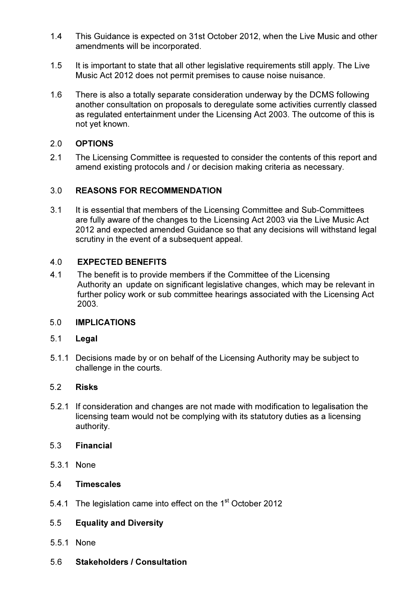- 1.4 This Guidance is expected on 31st October 2012, when the Live Music and other amendments will be incorporated.
- 1.5 It is important to state that all other legislative requirements still apply. The Live Music Act 2012 does not permit premises to cause noise nuisance.
- 1.6 There is also a totally separate consideration underway by the DCMS following another consultation on proposals to deregulate some activities currently classed as regulated entertainment under the Licensing Act 2003. The outcome of this is not yet known.

### 2.0 OPTIONS

2.1 The Licensing Committee is requested to consider the contents of this report and amend existing protocols and / or decision making criteria as necessary.

### 3.0 REASONS FOR RECOMMENDATION

 3.1 It is essential that members of the Licensing Committee and Sub-Committees are fully aware of the changes to the Licensing Act 2003 via the Live Music Act 2012 and expected amended Guidance so that any decisions will withstand legal scrutiny in the event of a subsequent appeal.

### 4.0 EXPECTED BENEFITS

4.1 The benefit is to provide members if the Committee of the Licensing Authority an update on significant legislative changes, which may be relevant in further policy work or sub committee hearings associated with the Licensing Act 2003.

### 5.0 IMPLICATIONS

### 5.1 Legal

 5.1.1 Decisions made by or on behalf of the Licensing Authority may be subject to challenge in the courts.

### 5.2 Risks

5.2.1 If consideration and changes are not made with modification to legalisation the licensing team would not be complying with its statutory duties as a licensing authority.

## 5.3 Financial

5.3.1 None

### 5.4 Timescales

5.4.1 The legislation came into effect on the 1<sup>st</sup> October 2012

# 5.5 Equality and Diversity

- 5.5.1 None
- 5.6 Stakeholders / Consultation